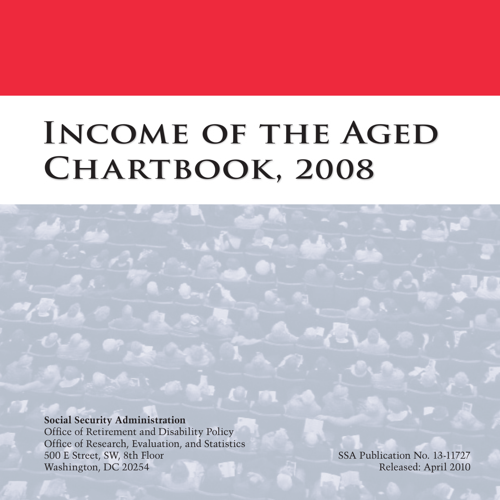# **Income of the Aged Chartbook, 2008**

**Social Security Administration**

Office of Retirement and Disability Policy Office of Research, Evaluation, and Statistics 500 E Street, SW, 8th Floor Washington, DC 20254

SSA Publication No. 13-11727 Released: April 2010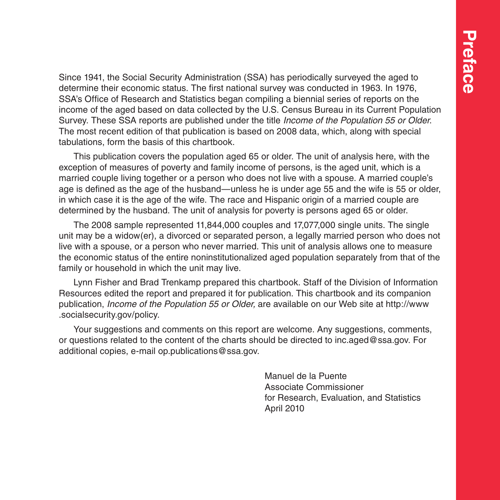Since 1941, the Social Security Administration (SSA) has periodically surveyed the aged to determine their economic status. The first national survey was conducted in 1963. In 1976, SSA's Office of Research and Statistics began compiling a biennial series of reports on the income of the aged based on data collected by the U.S. Census Bureau in its Current Population Survey. These SSA reports are published under the title *Income of the Population 55 or Older*. The most recent edition of that publication is based on 2008 data, which, along with special tabulations, form the basis of this chartbook.

This publication covers the population aged 65 or older. The unit of analysis here, with the exception of measures of poverty and family income of persons, is the aged unit, which is a married couple living together or a person who does not live with a spouse. A married couple's age is defined as the age of the husband—unless he is under age 55 and the wife is 55 or older, in which case it is the age of the wife. The race and Hispanic origin of a married couple are determined by the husband. The unit of analysis for poverty is persons aged 65 or older.

The 2008 sample represented 11,844,000 couples and 17,077,000 single units. The single unit may be a widow(er), a divorced or separated person, a legally married person who does not live with a spouse, or a person who never married. This unit of analysis allows one to measure the economic status of the entire noninstitutionalized aged population separately from that of the family or household in which the unit may live.

Lynn Fisher and Brad Trenkamp prepared this chartbook. Staff of the Division of Information Resources edited the report and prepared it for publication. This chartbook and its companion publication, *Income of the Population 55 or Older,* are available on our Web site at [http://www](http://www.socialsecurity.gov/policy) [.socialsecurity.gov/policy](http://www.socialsecurity.gov/policy).

Your suggestions and comments on this report are welcome. Any suggestions, comments, or questions related to the content of the charts should be directed to [inc.aged@ssa.gov](mailto:inc.aged@ssa.gov). For additional copies, e-mail [op.publications@ssa.gov.](mailto:op.publications@ssa.gov)

> Manuel de la Puente Associate Commissioner for Research, Evaluation, and Statistics April 2010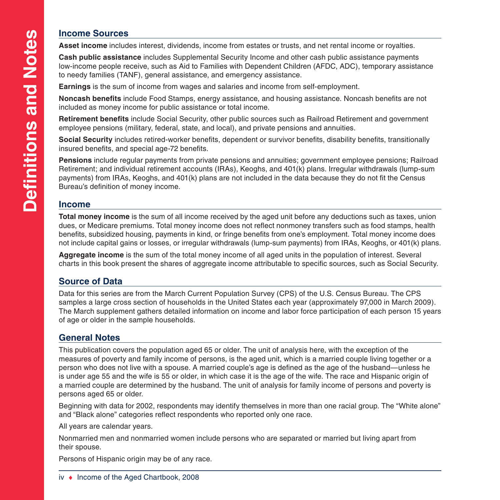### **Income Sources**

**Asset income** includes interest, dividends, income from estates or trusts, and net rental income or royalties.

**Cash public assistance** includes Supplemental Security Income and other cash public assistance payments low-income people receive, such as Aid to Families with Dependent Children (AFDC, ADC), temporary assistance to needy families (TANF), general assistance, and emergency assistance.

**Earnings** is the sum of income from wages and salaries and income from self-employment.

**Noncash benefits** include Food Stamps, energy assistance, and housing assistance. Noncash benefits are not included as money income for public assistance or total income.

**Retirement benefits** include Social Security, other public sources such as Railroad Retirement and government employee pensions (military, federal, state, and local), and private pensions and annuities.

**Social Security** includes retired-worker benefits, dependent or survivor benefits, disability benefits, transitionally insured benefits, and special age-72 benefits.

**Pensions** include regular payments from private pensions and annuities; government employee pensions; Railroad Retirement; and individual retirement accounts (IRAs), Keoghs, and 401(k) plans. Irregular withdrawals (lump-sum payments) from IRAs, Keoghs, and 401(k) plans are not included in the data because they do not fit the Census Bureau's definition of money income.

### **Income**

**Total money income** is the sum of all income received by the aged unit before any deductions such as taxes, union dues, or Medicare premiums. Total money income does not reflect nonmoney transfers such as food stamps, health benefits, subsidized housing, payments in kind, or fringe benefits from one's employment. Total money income does not include capital gains or losses, or irregular withdrawals (lump-sum payments) from IRAs, Keoghs, or 401(k) plans.

**Aggregate income** is the sum of the total money income of all aged units in the population of interest. Several charts in this book present the shares of aggregate income attributable to specific sources, such as Social Security.

### **Source of Data**

Data for this series are from the March Current Population Survey (CPS) of the U.S. Census Bureau. The CPS samples a large cross section of households in the United States each year (approximately 97,000 in March 2009). The March supplement gathers detailed information on income and labor force participation of each person 15 years of age or older in the sample households.

### **General Notes**

This publication covers the population aged 65 or older. The unit of analysis here, with the exception of the measures of poverty and family income of persons, is the aged unit, which is a married couple living together or a person who does not live with a spouse. A married couple's age is defined as the age of the husband—unless he is under age 55 and the wife is 55 or older, in which case it is the age of the wife. The race and Hispanic origin of a married couple are determined by the husband. The unit of analysis for family income of persons and poverty is persons aged 65 or older.

Beginning with data for 2002, respondents may identify themselves in more than one racial group. The "White alone" and "Black alone" categories reflect respondents who reported only one race.

All years are calendar years.

Nonmarried men and nonmarried women include persons who are separated or married but living apart from their spouse.

Persons of Hispanic origin may be of any race.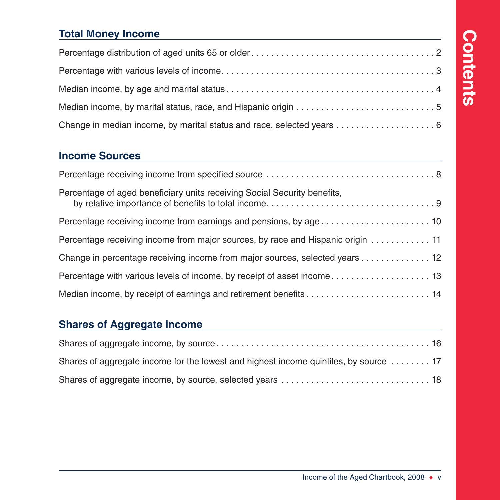# **Contents Contents**

### **[Total Money Income](#page-6-0)**

### **Income Sources**

| Percentage of aged beneficiary units receiving Social Security benefits,        |
|---------------------------------------------------------------------------------|
|                                                                                 |
| Percentage receiving income from major sources, by race and Hispanic origin  11 |
| Change in percentage receiving income from major sources, selected years 12     |
|                                                                                 |
| Median income, by receipt of earnings and retirement benefits 14                |

### **[Shares of Aggregate Income](#page-20-0)**

| Shares of aggregate income for the lowest and highest income quintiles, by source  17 |  |
|---------------------------------------------------------------------------------------|--|
|                                                                                       |  |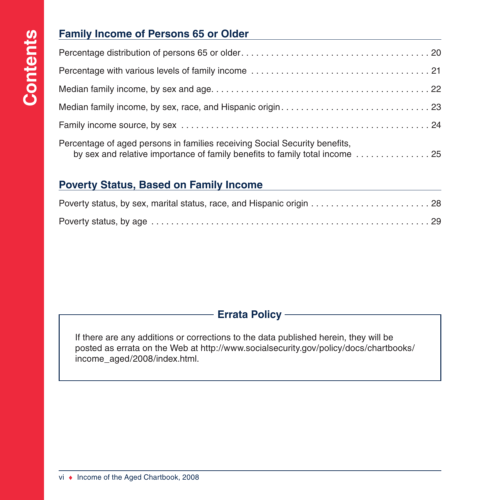### **Family Income of Persons 65 or Older**

| Percentage of aged persons in families receiving Social Security benefits,<br>by sex and relative importance of family benefits to family total income  25 |
|------------------------------------------------------------------------------------------------------------------------------------------------------------|

### **Poverty Status, Based on Family Income**

### **Errata Policy**

If there are any additions or corrections to the data published herein, they will be posted as errata on the Web at [http://www.socialsecurity.gov/policy/docs/chartbooks/](http://www.socialsecurity.gov/policy/docs/chartbooks/income_aged/2008/index.html) [income\\_aged/2008/index.html.](http://www.socialsecurity.gov/policy/docs/chartbooks/income_aged/2008/index.html)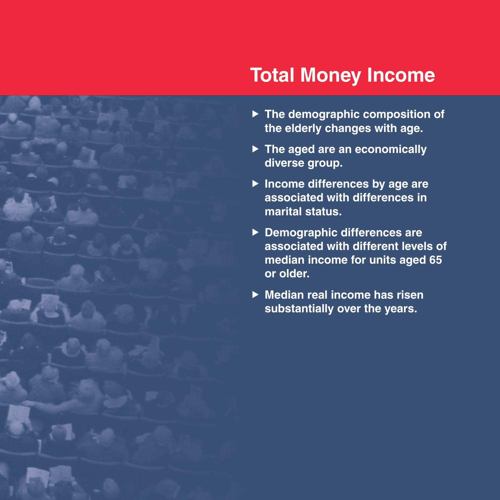## <span id="page-6-0"></span>**Total Money Income**

- **Fig. 3** The demographic composition of **the elderly changes with age.**
- ▶ The aged are an economically **diverse group.**
- **F** Income differences by age are **associated with differences in marital status.**
- ▶ Demographic differences are **associated with different levels of median income for units aged 65 or older.**
- ▶ Median real income has risen **substantially over the years.**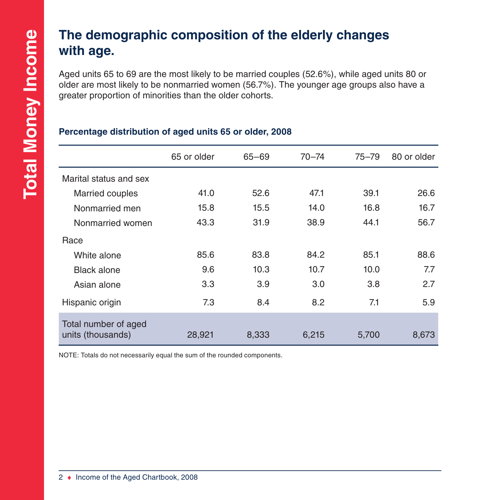### **The demographic composition of the elderly changes with age.**

Aged units 65 to 69 are the most likely to be married couples (52.6%), while aged units 80 or older are most likely to be nonmarried women (56.7%). The younger age groups also have a greater proportion of minorities than the older cohorts.

|                                           | 65 or older | $65 - 69$ | $70 - 74$ | $75 - 79$ | 80 or older |
|-------------------------------------------|-------------|-----------|-----------|-----------|-------------|
| Marital status and sex                    |             |           |           |           |             |
| <b>Married couples</b>                    | 41.0        | 52.6      | 47.1      | 39.1      | 26.6        |
| Nonmarried men                            | 15.8        | 15.5      | 14.0      | 16.8      | 16.7        |
| Nonmarried women                          | 43.3        | 31.9      | 38.9      | 44.1      | 56.7        |
| Race                                      |             |           |           |           |             |
| White alone                               | 85.6        | 83.8      | 84.2      | 85.1      | 88.6        |
| <b>Black alone</b>                        | 9.6         | 10.3      | 10.7      | 10.0      | 7.7         |
| Asian alone                               | 3.3         | 3.9       | 3.0       | 3.8       | 2.7         |
| Hispanic origin                           | 7.3         | 8.4       | 8.2       | 7.1       | 5.9         |
| Total number of aged<br>units (thousands) | 28,921      | 8,333     | 6,215     | 5,700     | 8,673       |

### **Percentage distribution of aged units 65 or older, 2008**

NOTE: Totals do not necessarily equal the sum of the rounded components.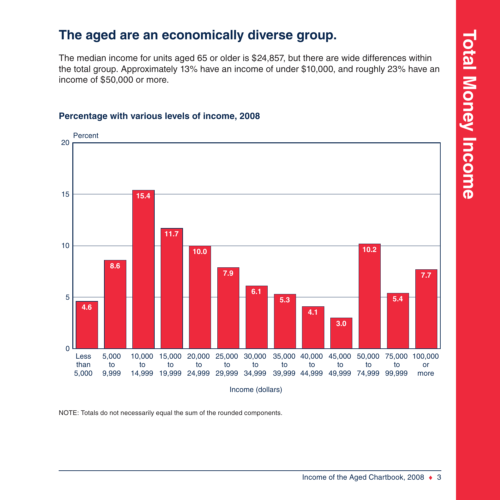### <span id="page-8-0"></span>**The aged are an economically diverse group.**

The median income for units aged 65 or older is \$24,857, but there are wide differences within the total group. Approximately 13% have an income of under \$10,000, and roughly 23% have an income of \$50,000 or more.

### Less than 5,000 5,000 to 9,999 10,000 15,000 20,000 25,000 30,000 to 14,999 19,999 24,999 29,999 34,999 39,999 44,999 49,999 74,999 99,999 to to to to 35,000 40,000 45,000 50,000 75,000 100,000 to to to to to or more  $\Omega$ 5 10 15 20 Percent Income (dollars) **4.6 8.6 15.4 11.7 10.0 7.9 6.1 5.3 4.1 3.0 10.2 5.4 7.7**

### **Percentage with various levels of income, 2008**

NOTE: Totals do not necessarily equal the sum of the rounded components.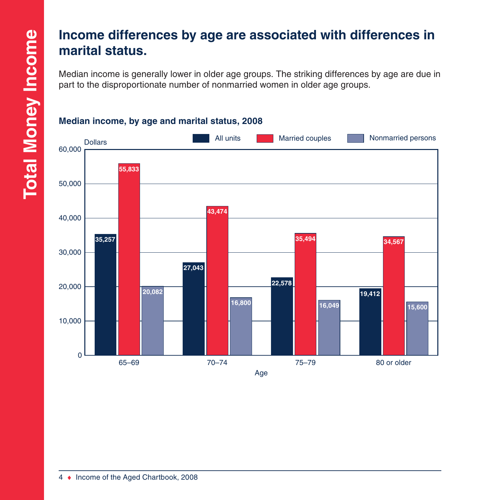### <span id="page-9-0"></span>**Income differences by age are associated with differences in marital status.**

Median income is generally lower in older age groups. The striking differences by age are due in part to the disproportionate number of nonmarried women in older age groups.



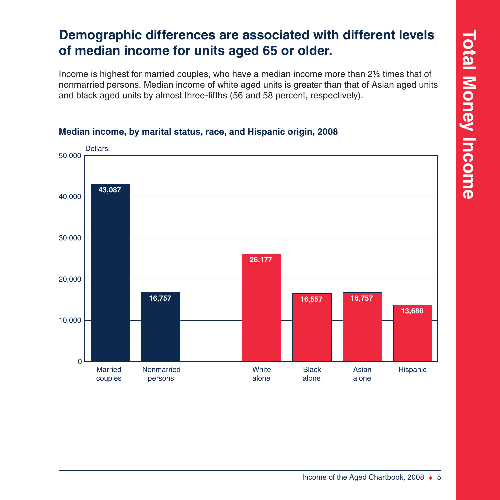### <span id="page-10-0"></span>**Demographic differences are associated with different levels of median income for units aged 65 or older.**

Income is highest for married couples, who have a median income more than 2½ times that of nonmarried persons. Median income of white aged units is greater than that of Asian aged units and black aged units by almost three-fifths (56 and 58 percent, respectively).



### **Median income, by marital status, race, and Hispanic origin, 2008**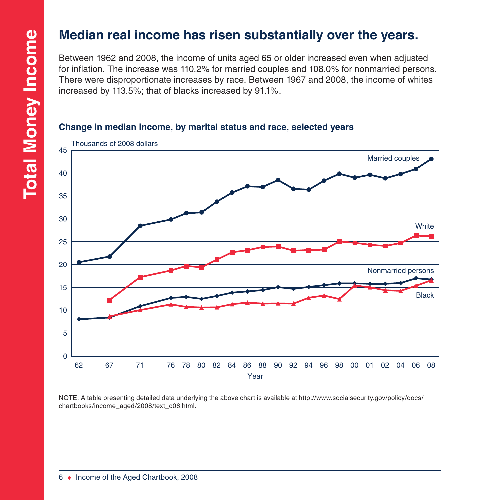### <span id="page-11-0"></span>**Median real income has risen substantially over the years.**

Between 1962 and 2008, the income of units aged 65 or older increased even when adjusted for inflation. The increase was 110.2% for married couples and 108.0% for nonmarried persons. There were disproportionate increases by race. Between 1967 and 2008, the income of whites increased by 113.5%; that of blacks increased by 91.1%.

### **Change in median income, by marital status and race, selected years**



NOTE: A table presenting detailed data underlying the above chart is available at [http://www.socialsecurity.gov/policy/docs/](http://www.socialsecurity.gov/policy/docs/chartbooks/income_aged/2008/text_c06.html) [chartbooks/income\\_aged/2008/text\\_c06.html](http://www.socialsecurity.gov/policy/docs/chartbooks/income_aged/2008/text_c06.html).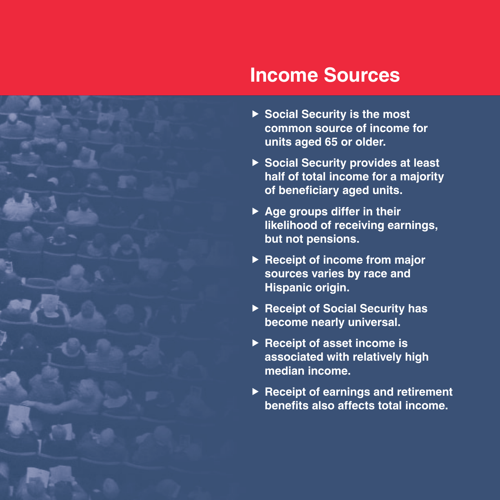

## **Income Sources**

- ▶ Social Security is the most **common source of income for units aged 65 or older.**
- ▶ Social Security provides at least **half of total income for a majority of beneficiary aged units.**
- ▶ Age groups differ in their **likelihood of receiving earnings, but not pensions.**
- ▶ Receipt of income from major **sources varies by race and Hispanic origin.**
- ▶ Receipt of Social Security has **become nearly universal.**
- ▶ Receipt of asset income is **associated with relatively high median income.**
- ▶ Receipt of earnings and retirement **benefits also affects total income.**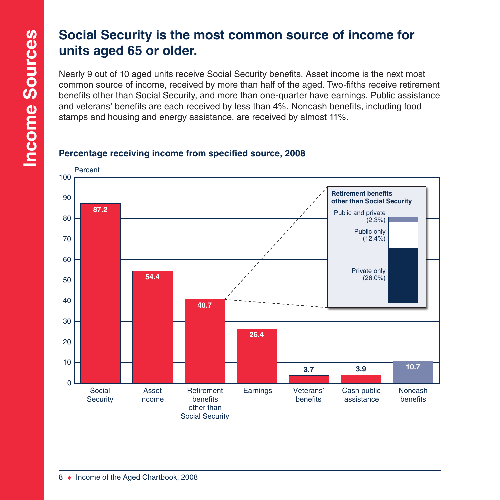### **Social Security is the most common source of income for units aged 65 or older.**

Nearly 9 out of 10 aged units receive Social Security benefits. Asset income is the next most common source of income, received by more than half of the aged. Two-fifths receive retirement benefits other than Social Security, and more than one-quarter have earnings. Public assistance and veterans' benefits are each received by less than 4%. Noncash benefits, including food stamps and housing and energy assistance, are received by almost 11%.

### **Percentage receiving income from specified source, 2008**

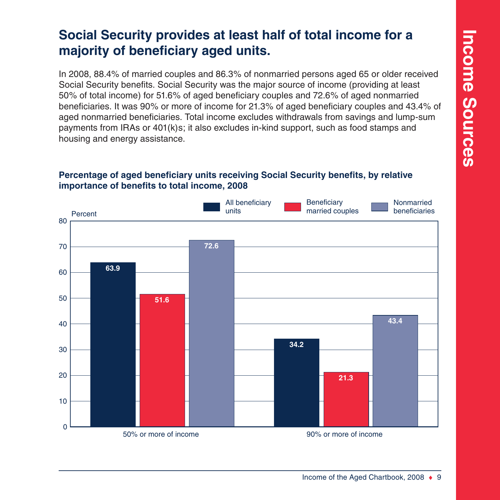### **Social Security provides at least half of total income for a majority of beneficiary aged units.**

In 2008, 88.4% of married couples and 86.3% of nonmarried persons aged 65 or older received Social Security benefits. Social Security was the major source of income (providing at least 50% of total income) for 51.6% of aged beneficiary couples and 72.6% of aged nonmarried beneficiaries. It was 90% or more of income for 21.3% of aged beneficiary couples and 43.4% of aged nonmarried beneficiaries. Total income excludes withdrawals from savings and lump-sum payments from IRAs or 401(k)s; it also excludes in-kind support, such as food stamps and housing and energy assistance.

### **Percentage of aged beneficiary units receiving Social Security benefits, by relative importance of benefits to total income, 2008**

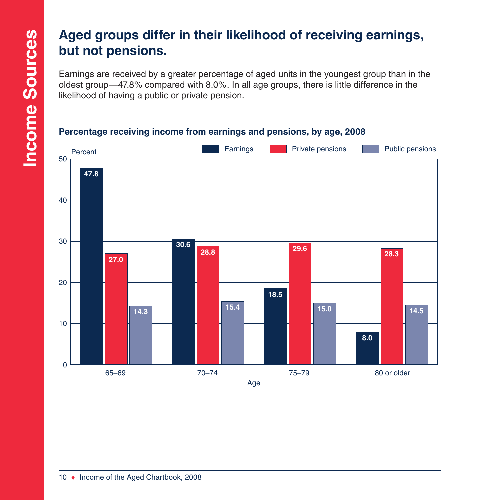### **Aged groups differ in their likelihood of receiving earnings, but not pensions.**

Earnings are received by a greater percentage of aged units in the youngest group than in the oldest group—47.8% compared with 8.0%. In all age groups, there is little difference in the likelihood of having a public or private pension.

### **Percentage receiving income from earnings and pensions, by age, 2008**

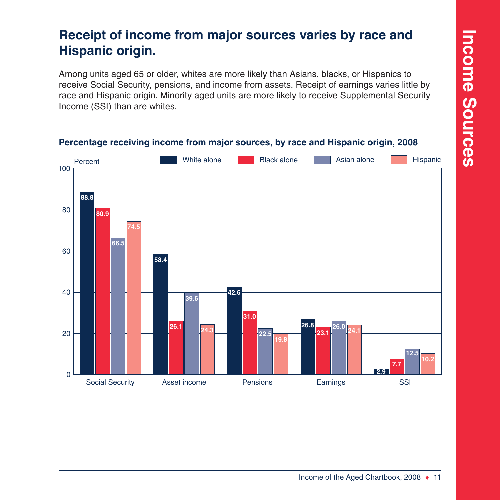### **Receipt of income from major sources varies by race and Hispanic origin.**

Among units aged 65 or older, whites are more likely than Asians, blacks, or Hispanics to receive Social Security, pensions, and income from assets. Receipt of earnings varies little by race and Hispanic origin. Minority aged units are more likely to receive Supplemental Security Income (SSI) than are whites.



### **Percentage receiving income from major sources, by race and Hispanic origin, 2008**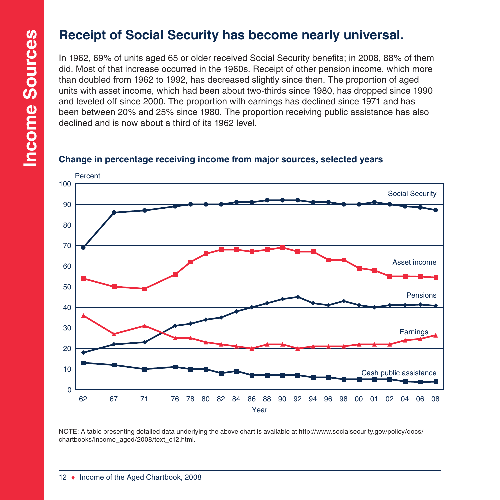### **Receipt of Social Security has become nearly universal.**

In 1962, 69% of units aged 65 or older received Social Security benefits; in 2008, 88% of them did. Most of that increase occurred in the 1960s. Receipt of other pension income, which more than doubled from 1962 to 1992, has decreased slightly since then. The proportion of aged units with asset income, which had been about two-thirds since 1980, has dropped since 1990 and leveled off since 2000. The proportion with earnings has declined since 1971 and has been between 20% and 25% since 1980. The proportion receiving public assistance has also declined and is now about a third of its 1962 level.

### **Change in percentage receiving income from major sources, selected years**



NOTE: A table presenting detailed data underlying the above chart is available at [http://www.socialsecurity.gov/policy/docs/](http://www.socialsecurity.gov/policy/docs/chartbooks/income_aged/2008/text_c12.html) [chartbooks/income\\_aged/2008/text\\_c12.html](http://www.socialsecurity.gov/policy/docs/chartbooks/income_aged/2008/text_c12.html).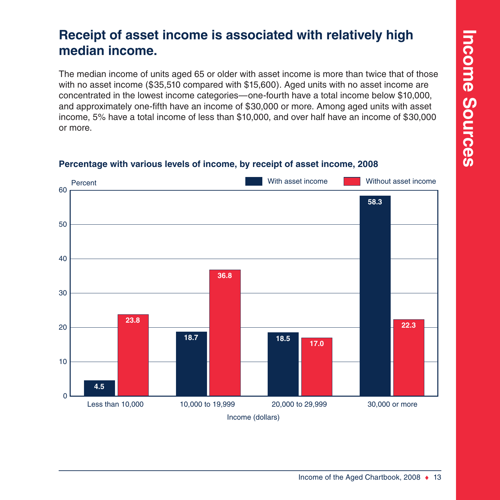### <span id="page-18-0"></span>**Receipt of asset income is associated with relatively high median income.**

The median income of units aged 65 or older with asset income is more than twice that of those with no asset income (\$35,510 compared with \$15,600). Aged units with no asset income are concentrated in the lowest income categories—one-fourth have a total income below \$10,000, and approximately one-fifth have an income of \$30,000 or more. Among aged units with asset income, 5% have a total income of less than \$10,000, and over half have an income of \$30,000 or more.



### **Percentage with various levels of income, by receipt of asset income, 2008**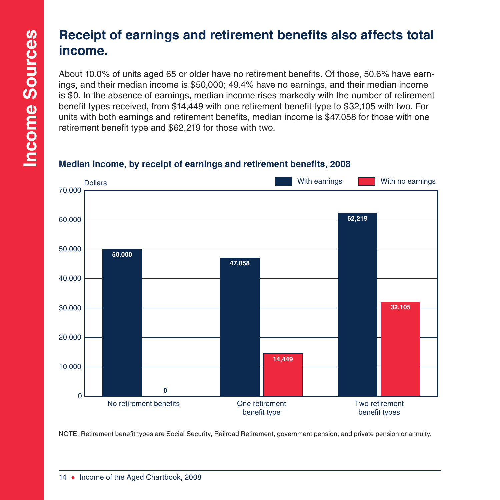### <span id="page-19-0"></span>**Receipt of earnings and retirement benefits also affects total income.**

About 10.0% of units aged 65 or older have no retirement benefits. Of those, 50.6% have earnings, and their median income is \$50,000; 49.4% have no earnings, and their median income is \$0. In the absence of earnings, median income rises markedly with the number of retirement benefit types received, from \$14,449 with one retirement benefit type to \$32,105 with two. For units with both earnings and retirement benefits, median income is \$47,058 for those with one retirement benefit type and \$62,219 for those with two.

### No retirement benefits **No retirement** benefit type Two retirement benefit types  $\Omega$ 10,000 20,000 30,000 40,000 50,000 60,000 70,000 **Dollars 50,000 0 47,058 14,449 62,219 32,105** With earnings **No. 1** With no earnings

### **Median income, by receipt of earnings and retirement benefits, 2008**

NOTE: Retirement benefit types are Social Security, Railroad Retirement, government pension, and private pension or annuity.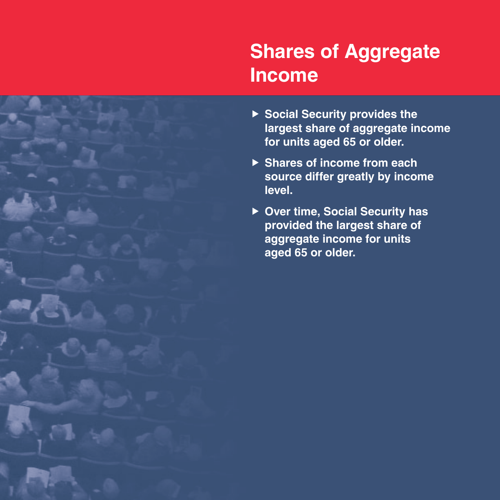# <span id="page-20-0"></span>**Shares of Aggregate Income**

- ▶ Social Security provides the **largest share of aggregate income for units aged 65 or older.**
- ▶ Shares of income from each **source differ greatly by income level.**
- ▶ Over time, Social Security has **provided the largest share of aggregate income for units aged 65 or older.**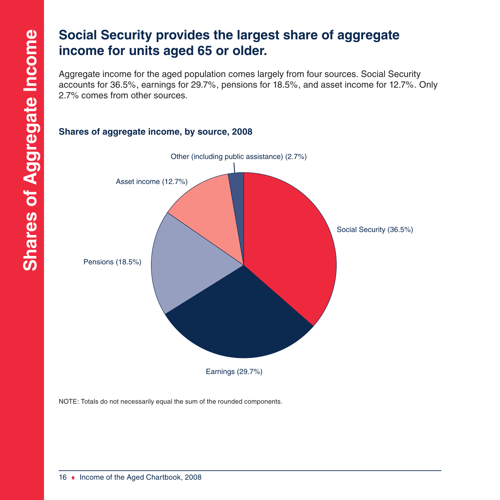### <span id="page-21-0"></span>**Social Security provides the largest share of aggregate income for units aged 65 or older.**

Aggregate income for the aged population comes largely from four sources. Social Security accounts for 36.5%, earnings for 29.7%, pensions for 18.5%, and asset income for 12.7%. Only 2.7% comes from other sources.



### **Shares of aggregate income, by source, 2008**

NOTE: Totals do not necessarily equal the sum of the rounded components.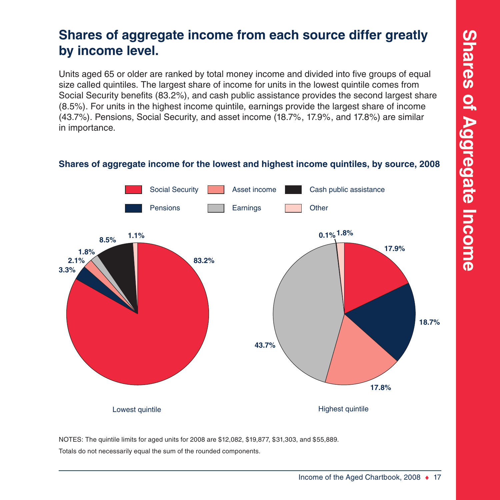### <span id="page-22-0"></span>**Shares of aggregate income from each source differ greatly by income level.**

Units aged 65 or older are ranked by total money income and divided into five groups of equal size called quintiles. The largest share of income for units in the lowest quintile comes from Social Security benefits (83.2%), and cash public assistance provides the second largest share (8.5%). For units in the highest income quintile, earnings provide the largest share of income (43.7%). Pensions, Social Security, and asset income (18.7%, 17.9%, and 17.8%) are similar in importance.

### **Shares of aggregate income for the lowest and highest income quintiles, by source, 2008**



NOTES: The quintile limits for aged units for 2008 are \$12,082, \$19,877, \$31,303, and \$55,889. Totals do not necessarily equal the sum of the rounded components.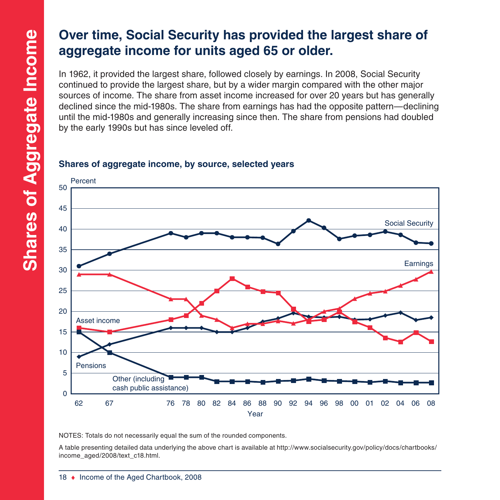### <span id="page-23-0"></span>**Over time, Social Security has provided the largest share of aggregate income for units aged 65 or older.**

In 1962, it provided the largest share, followed closely by earnings. In 2008, Social Security continued to provide the largest share, but by a wider margin compared with the other major sources of income. The share from asset income increased for over 20 years but has generally declined since the mid-1980s. The share from earnings has had the opposite pattern—declining until the mid-1980s and generally increasing since then. The share from pensions had doubled by the early 1990s but has since leveled off.

### **Shares of aggregate income, by source, selected years**



NOTES: Totals do not necessarily equal the sum of the rounded components.

A table presenting detailed data underlying the above chart is available at [http://www.socialsecurity.gov/policy/docs/chartbooks/](http://www.socialsecurity.gov/policy/docs/chartbooks/income_aged/2008/text_c18.html) [income\\_aged/2008/text\\_c18.html.](http://www.socialsecurity.gov/policy/docs/chartbooks/income_aged/2008/text_c18.html)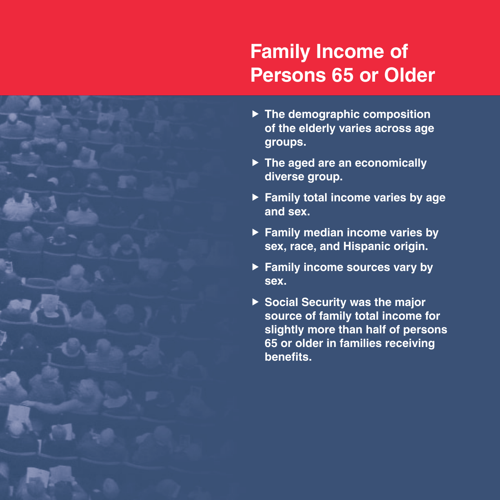# **Family Income of Persons 65 or Older**

- ▶ The demographic composition **of the elderly varies across age groups.**
- ▶ The aged are an economically **diverse group.**
- **Family total income varies by age and sex.**
- **Family median income varies by sex, race, and Hispanic origin.**
- ▶ Family income sources vary by **sex.**
- ▶ Social Security was the major **source of family total income for slightly more than half of persons 65 or older in families receiving benefits.**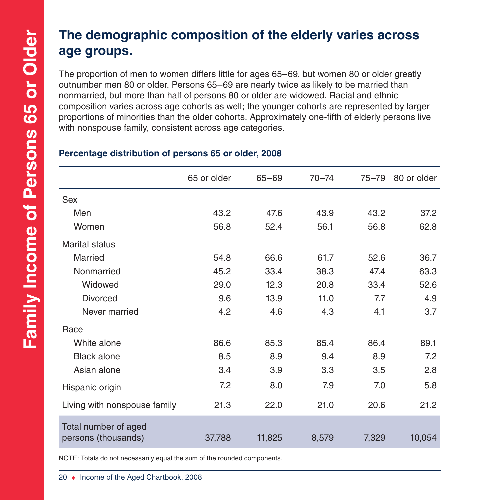### **The demographic composition of the elderly varies across age groups.**

The proportion of men to women differs little for ages 65–69, but women 80 or older greatly outnumber men 80 or older. Persons 65–69 are nearly twice as likely to be married than nonmarried, but more than half of persons 80 or older are widowed. Racial and ethnic composition varies across age cohorts as well; the younger cohorts are represented by larger proportions of minorities than the older cohorts. Approximately one-fifth of elderly persons live with nonspouse family, consistent across age categories.

|                                             | 65 or older | $65 - 69$ | $70 - 74$ | $75 - 79$ | 80 or older |
|---------------------------------------------|-------------|-----------|-----------|-----------|-------------|
| <b>Sex</b>                                  |             |           |           |           |             |
| Men                                         | 43.2        | 47.6      | 43.9      | 43.2      | 37.2        |
| Women                                       | 56.8        | 52.4      | 56.1      | 56.8      | 62.8        |
| <b>Marital status</b>                       |             |           |           |           |             |
| Married                                     | 54.8        | 66.6      | 61.7      | 52.6      | 36.7        |
| Nonmarried                                  | 45.2        | 33.4      | 38.3      | 47.4      | 63.3        |
| Widowed                                     | 29.0        | 12.3      | 20.8      | 33.4      | 52.6        |
| <b>Divorced</b>                             | 9.6         | 13.9      | 11.0      | 7.7       | 4.9         |
| Never married                               | 4.2         | 4.6       | 4.3       | 4.1       | 3.7         |
| Race                                        |             |           |           |           |             |
| White alone                                 | 86.6        | 85.3      | 85.4      | 86.4      | 89.1        |
| <b>Black alone</b>                          | 8.5         | 8.9       | 9.4       | 8.9       | 7.2         |
| Asian alone                                 | 3.4         | 3.9       | 3.3       | 3.5       | 2.8         |
| Hispanic origin                             | 7.2         | 8.0       | 7.9       | 7.0       | 5.8         |
| Living with nonspouse family                | 21.3        | 22.0      | 21.0      | 20.6      | 21.2        |
| Total number of aged<br>persons (thousands) | 37,788      | 11,825    | 8,579     | 7,329     | 10,054      |

### **Percentage distribution of persons 65 or older, 2008**

NOTE: Totals do not necessarily equal the sum of the rounded components.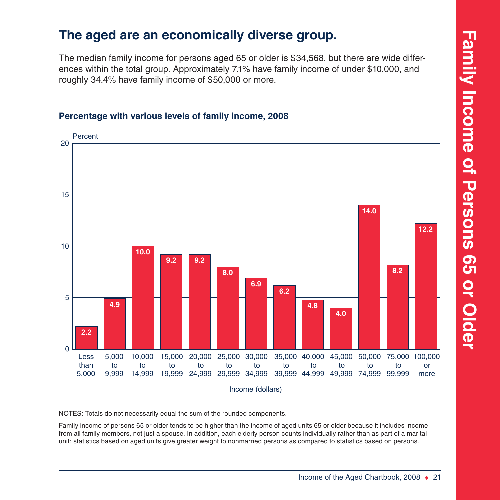# **Family Income of Persons 65 or Older Family Income of Persons 65 or Older**

### **The aged are an economically diverse group.**

The median family income for persons aged 65 or older is \$34,568, but there are wide differences within the total group. Approximately 7.1% have family income of under \$10,000, and roughly 34.4% have family income of \$50,000 or more.

### Less than 5,000 5,000 to 9,999 10,000 to 14,999 19,999 24,999 29,999 34,999 39,999 44,999 49,999 74,999 99,999 15,000 to 20,000 25,000 30,000 to to to 35,000 40,000 45,000 50,000 to to to to 75,000 100,000 to or more  $\Omega$ 5 10 15 20 Percent Income (dollars) **2.2 4.9 10.0 9.2 9.2 8.0 6.9 6.2 4.8 4.0 14.0 8.2 12.2**

### **Percentage with various levels of family income, 2008**

NOTES: Totals do not necessarily equal the sum of the rounded components.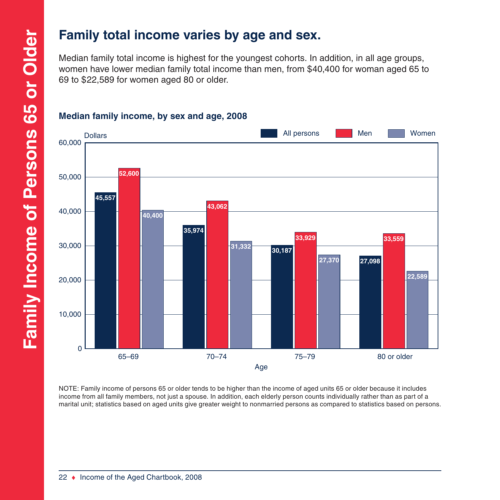### **Family total income varies by age and sex.**

Median family total income is highest for the youngest cohorts. In addition, in all age groups, women have lower median family total income than men, from \$40,400 for woman aged 65 to 69 to \$22,589 for women aged 80 or older.



### **Median family income, by sex and age, 2008**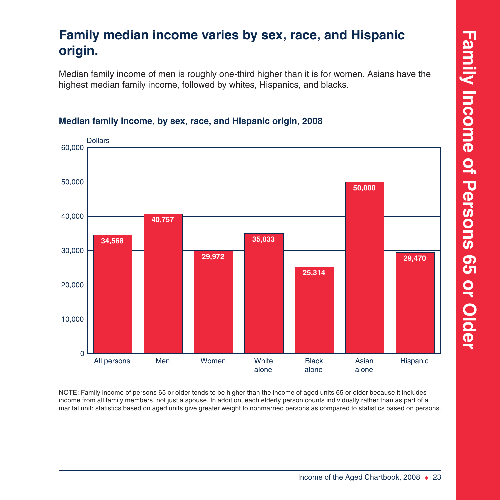### **Family median income varies by sex, race, and Hispanic origin.**

Median family income of men is roughly one-third higher than it is for women. Asians have the highest median family income, followed by whites, Hispanics, and blacks.



### **Median family income, by sex, race, and Hispanic origin, 2008**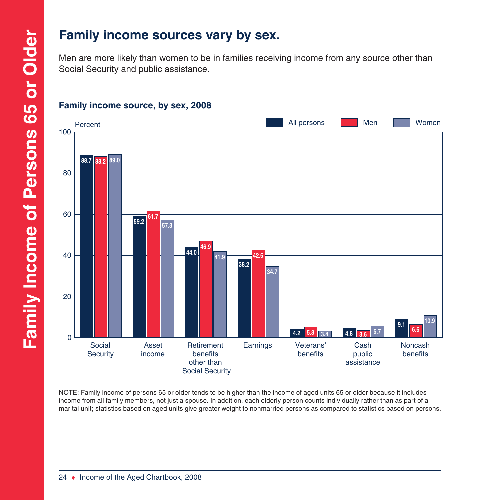### **Family income sources vary by sex.**

Men are more likely than women to be in families receiving income from any source other than Social Security and public assistance.



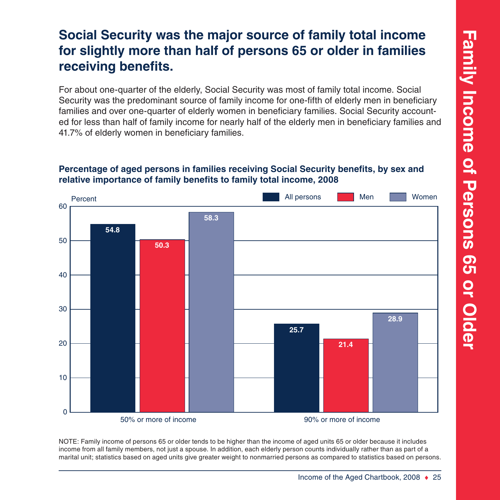### **Social Security was the major source of family total income for slightly more than half of persons 65 or older in families receiving benefits.**

For about one-quarter of the elderly, Social Security was most of family total income. Social Security was the predominant source of family income for one-fifth of elderly men in beneficiary families and over one-quarter of elderly women in beneficiary families. Social Security accounted for less than half of family income for nearly half of the elderly men in beneficiary families and 41.7% of elderly women in beneficiary families.

### **Percentage of aged persons in families receiving Social Security benefits, by sex and relative importance of family benefits to family total income, 2008**

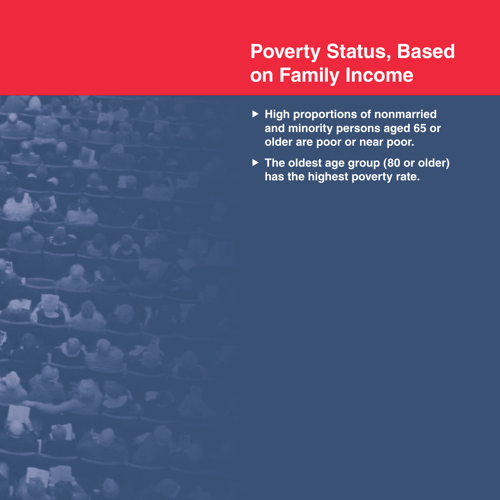# **Poverty Status, Based on Family Income**

- **F** High proportions of nonmarried **and minority persons aged 65 or older are poor or near poor.**
- ▶ The oldest age group (80 or older) **has the highest poverty rate.**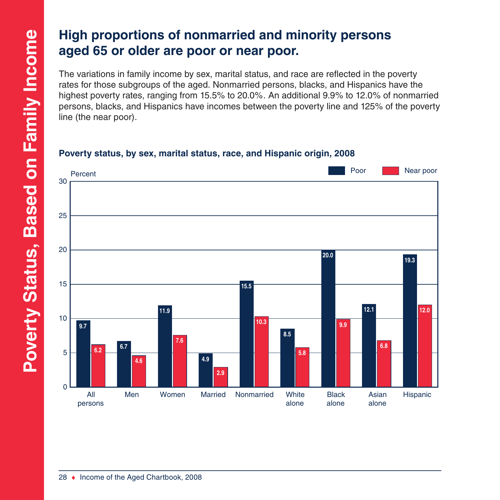### **High proportions of nonmarried and minority persons aged 65 or older are poor or near poor.**

The variations in family income by sex, marital status, and race are reflected in the poverty rates for those subgroups of the aged. Nonmarried persons, blacks, and Hispanics have the highest poverty rates, ranging from 15.5% to 20.0%. An additional 9.9% to 12.0% of nonmarried persons, blacks, and Hispanics have incomes between the poverty line and 125% of the poverty line (the near poor).

### **Poverty status, by sex, marital status, race, and Hispanic origin, 2008**